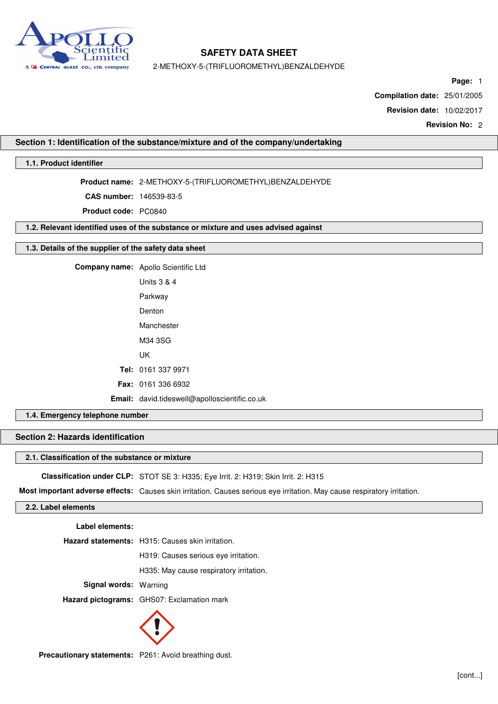

2-METHOXY-5-(TRIFLUOROMETHYL)BENZALDEHYDE

**Page:** 1

**Compilation date:** 25/01/2005

**Revision date:** 10/02/2017

**Revision No:** 2

#### **Section 1: Identification of the substance/mixture and of the company/undertaking**

## **1.1. Product identifier**

**Product name:** 2-METHOXY-5-(TRIFLUOROMETHYL)BENZALDEHYDE

**CAS number:** 146539-83-5

**Product code:** PC0840

**1.2. Relevant identified uses of the substance or mixture and uses advised against**

#### **1.3. Details of the supplier of the safety data sheet**

**Company name:** Apollo Scientific Ltd Units 3 & 4 Parkway Denton Manchester M34 3SG UK **Tel:** 0161 337 9971 **Fax:** 0161 336 6932 **Email:** david.tideswell@apolloscientific.co.uk

# **1.4. Emergency telephone number**

# **Section 2: Hazards identification**

#### **2.1. Classification of the substance or mixture**

**Classification under CLP:** STOT SE 3: H335; Eye Irrit. 2: H319; Skin Irrit. 2: H315

**Most important adverse effects:** Causes skin irritation. Causes serious eye irritation. May cause respiratory irritation.

# **2.2. Label elements**

**Label elements:**

**Hazard statements:** H315: Causes skin irritation.

H319: Causes serious eye irritation.

H335: May cause respiratory irritation.

**Signal words:** Warning

**Hazard pictograms:** GHS07: Exclamation mark



**Precautionary statements:** P261: Avoid breathing dust.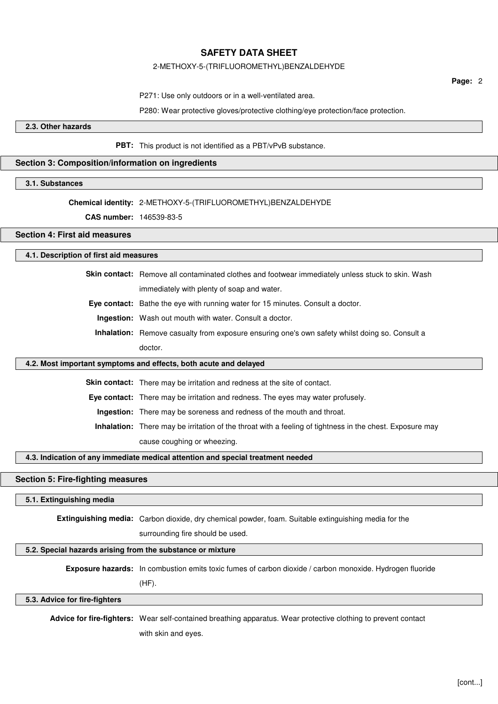#### 2-METHOXY-5-(TRIFLUOROMETHYL)BENZALDEHYDE

**Page:** 2

P271: Use only outdoors or in a well-ventilated area.

P280: Wear protective gloves/protective clothing/eye protection/face protection.

#### **2.3. Other hazards**

**PBT:** This product is not identified as a PBT/vPvB substance.

#### **Section 3: Composition/information on ingredients**

#### **3.1. Substances**

# **Chemical identity:** 2-METHOXY-5-(TRIFLUOROMETHYL)BENZALDEHYDE

**CAS number:** 146539-83-5

#### **Section 4: First aid measures**

#### **4.1. Description of first aid measures**

**Skin contact:** Remove all contaminated clothes and footwear immediately unless stuck to skin. Wash immediately with plenty of soap and water.

**Eye contact:** Bathe the eye with running water for 15 minutes. Consult a doctor.

**Ingestion:** Wash out mouth with water. Consult a doctor.

**Inhalation:** Remove casualty from exposure ensuring one's own safety whilst doing so. Consult a doctor.

#### **4.2. Most important symptoms and effects, both acute and delayed**

**Skin contact:** There may be irritation and redness at the site of contact.

**Eye contact:** There may be irritation and redness. The eyes may water profusely.

**Ingestion:** There may be soreness and redness of the mouth and throat.

**Inhalation:** There may be irritation of the throat with a feeling of tightness in the chest. Exposure may cause coughing or wheezing.

#### **4.3. Indication of any immediate medical attention and special treatment needed**

# **Section 5: Fire-fighting measures**

#### **5.1. Extinguishing media**

**Extinguishing media:** Carbon dioxide, dry chemical powder, foam. Suitable extinguishing media for the

surrounding fire should be used.

# **5.2. Special hazards arising from the substance or mixture**

**Exposure hazards:** In combustion emits toxic fumes of carbon dioxide / carbon monoxide. Hydrogen fluoride

(HF).

#### **5.3. Advice for fire-fighters**

**Advice for fire-fighters:** Wear self-contained breathing apparatus. Wear protective clothing to prevent contact with skin and eyes.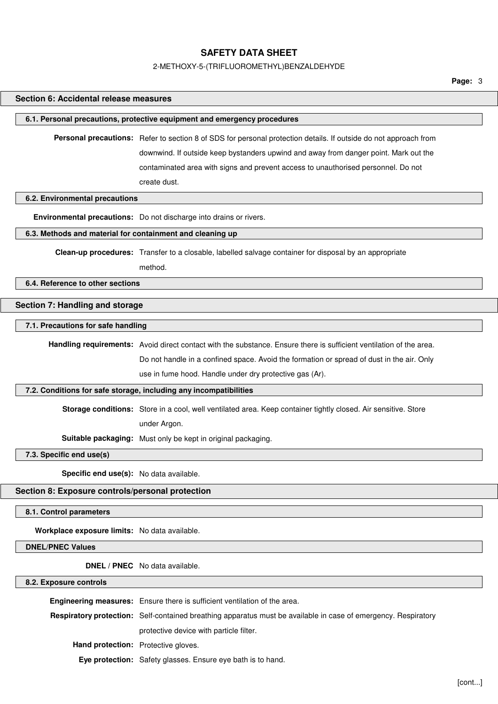#### 2-METHOXY-5-(TRIFLUOROMETHYL)BENZALDEHYDE

**Page:** 3

# **Section 6: Accidental release measures 6.1. Personal precautions, protective equipment and emergency procedures Personal precautions:** Refer to section 8 of SDS for personal protection details. If outside do not approach from downwind. If outside keep bystanders upwind and away from danger point. Mark out the contaminated area with signs and prevent access to unauthorised personnel. Do not create dust. **6.2. Environmental precautions Environmental precautions:** Do not discharge into drains or rivers. **6.3. Methods and material for containment and cleaning up Clean-up procedures:** Transfer to a closable, labelled salvage container for disposal by an appropriate method. **6.4. Reference to other sections Section 7: Handling and storage 7.1. Precautions for safe handling Handling requirements:** Avoid direct contact with the substance. Ensure there is sufficient ventilation of the area. Do not handle in a confined space. Avoid the formation or spread of dust in the air. Only use in fume hood. Handle under dry protective gas (Ar). **7.2. Conditions for safe storage, including any incompatibilities Storage conditions:** Store in a cool, well ventilated area. Keep container tightly closed. Air sensitive. Store under Argon. **Suitable packaging:** Must only be kept in original packaging. **7.3. Specific end use(s) Specific end use(s):** No data available. **Section 8: Exposure controls/personal protection 8.1. Control parameters Workplace exposure limits:** No data available. **DNEL/PNEC Values DNEL / PNEC** No data available. **8.2. Exposure controls**

|                                            | Engineering measures: Ensure there is sufficient ventilation of the area.                                             |
|--------------------------------------------|-----------------------------------------------------------------------------------------------------------------------|
|                                            | <b>Respiratory protection:</b> Self-contained breathing apparatus must be available in case of emergency. Respiratory |
|                                            | protective device with particle filter.                                                                               |
| <b>Hand protection:</b> Protective gloves. |                                                                                                                       |
|                                            | <b>Eye protection:</b> Safety glasses. Ensure eye bath is to hand.                                                    |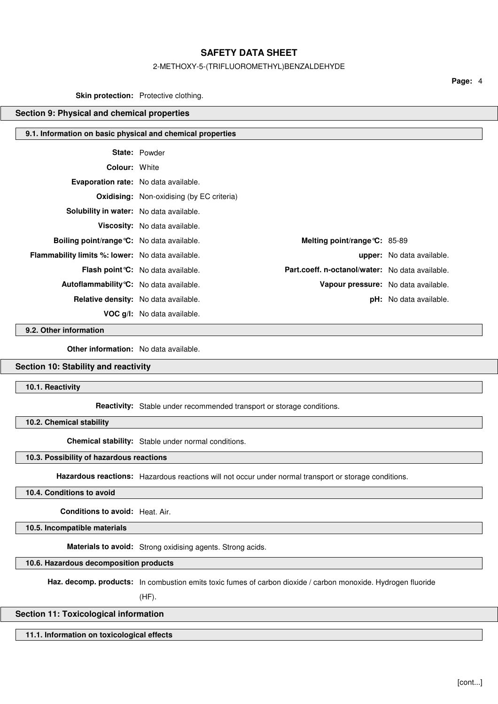#### 2-METHOXY-5-(TRIFLUOROMETHYL)BENZALDEHYDE

**Page:** 4

## **Skin protection:** Protective clothing.

# **Section 9: Physical and chemical properties**

#### **9.1. Information on basic physical and chemical properties**

|                                                         | <b>State: Powder</b>                             |                                                 |                                  |
|---------------------------------------------------------|--------------------------------------------------|-------------------------------------------------|----------------------------------|
| <b>Colour: White</b>                                    |                                                  |                                                 |                                  |
| <b>Evaporation rate:</b> No data available.             |                                                  |                                                 |                                  |
|                                                         | <b>Oxidising:</b> Non-oxidising (by EC criteria) |                                                 |                                  |
| Solubility in water: No data available.                 |                                                  |                                                 |                                  |
|                                                         | Viscosity: No data available.                    |                                                 |                                  |
| Boiling point/range °C: No data available.              |                                                  | Melting point/range $C: 85-89$                  |                                  |
| <b>Flammability limits %: lower:</b> No data available. |                                                  |                                                 | <b>upper:</b> No data available. |
|                                                         | <b>Flash point °C:</b> No data available.        | Part.coeff. n-octanol/water: No data available. |                                  |
| Autoflammability °C: No data available.                 |                                                  | Vapour pressure: No data available.             |                                  |
|                                                         | <b>Relative density:</b> No data available.      |                                                 | <b>pH:</b> No data available.    |
|                                                         | VOC q/I: No data available.                      |                                                 |                                  |

**9.2. Other information**

**Other information:** No data available.

## **Section 10: Stability and reactivity**

**10.1. Reactivity**

**Reactivity:** Stable under recommended transport or storage conditions.

**10.2. Chemical stability**

**Chemical stability:** Stable under normal conditions.

#### **10.3. Possibility of hazardous reactions**

**Hazardous reactions:** Hazardous reactions will not occur under normal transport or storage conditions.

**10.4. Conditions to avoid**

**Conditions to avoid:** Heat. Air.

**10.5. Incompatible materials**

**Materials to avoid:** Strong oxidising agents. Strong acids.

## **10.6. Hazardous decomposition products**

**Haz. decomp. products:** In combustion emits toxic fumes of carbon dioxide / carbon monoxide. Hydrogen fluoride

(HF).

# **Section 11: Toxicological information**

**11.1. Information on toxicological effects**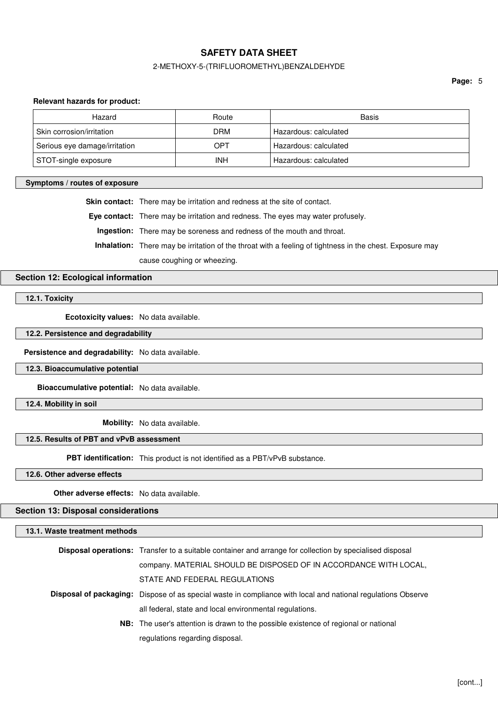#### 2-METHOXY-5-(TRIFLUOROMETHYL)BENZALDEHYDE

**Page:** 5

#### **Relevant hazards for product:**

| Hazard                        | Route      | Basis                 |
|-------------------------------|------------|-----------------------|
| Skin corrosion/irritation     | <b>DRM</b> | Hazardous: calculated |
| Serious eye damage/irritation | OPT        | Hazardous: calculated |
| STOT-single exposure          | INH        | Hazardous: calculated |

#### **Symptoms / routes of exposure**

**Skin contact:** There may be irritation and redness at the site of contact.

**Eye contact:** There may be irritation and redness. The eyes may water profusely.

**Ingestion:** There may be soreness and redness of the mouth and throat.

**Inhalation:** There may be irritation of the throat with a feeling of tightness in the chest. Exposure may

cause coughing or wheezing.

# **Section 12: Ecological information**

**12.1. Toxicity**

**Ecotoxicity values:** No data available.

**12.2. Persistence and degradability**

**Persistence and degradability:** No data available.

**12.3. Bioaccumulative potential**

**Bioaccumulative potential:** No data available.

**12.4. Mobility in soil**

**Mobility:** No data available.

# **12.5. Results of PBT and vPvB assessment**

**PBT identification:** This product is not identified as a PBT/vPvB substance.

**12.6. Other adverse effects**

**Other adverse effects:** No data available.

**Section 13: Disposal considerations**

**13.1. Waste treatment methods**

| <b>Disposal operations:</b> Transfer to a suitable container and arrange for collection by specialised disposal     |
|---------------------------------------------------------------------------------------------------------------------|
| company. MATERIAL SHOULD BE DISPOSED OF IN ACCORDANCE WITH LOCAL,                                                   |
| STATE AND FEDERAL REGULATIONS                                                                                       |
| <b>Disposal of packaging:</b> Dispose of as special waste in compliance with local and national regulations Observe |
| all federal, state and local environmental regulations.                                                             |
| NB: The user's attention is drawn to the possible existence of regional or national                                 |
| regulations regarding disposal.                                                                                     |